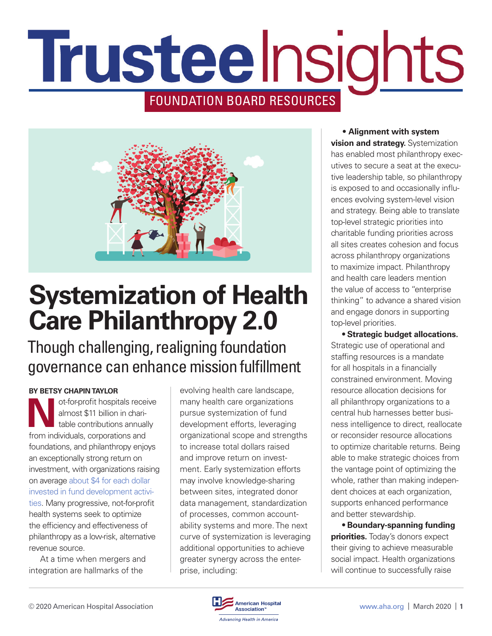# Trusteelnsights FOUNDATION BOARD RESOURCES



## **Systemization of Health Care Philanthropy 2.0**

Though challenging, realigning foundation governance can enhance mission fulfillment

#### **BY BETSY CHAPIN TAYLOR**

ot-for-profit hospitals receive almost \$11 billion in charitable contributions annually from individuals, corporations and foundations, and philanthropy enjoys an exceptionally strong return on investment, with organizations raising on average [about \\$4 for each dollar](https://www.ahp.org/resources-and-tools/report-on-giving-benchmarking)  [invested in fund development activi](https://www.ahp.org/resources-and-tools/report-on-giving-benchmarking)[ties.](https://www.ahp.org/resources-and-tools/report-on-giving-benchmarking) Many progressive, not-for-profit health systems seek to optimize the efficiency and effectiveness of philanthropy as a low-risk, alternative

revenue source. At a time when mergers and integration are hallmarks of the

evolving health care landscape, many health care organizations pursue systemization of fund development efforts, leveraging organizational scope and strengths to increase total dollars raised and improve return on investment. Early systemization efforts may involve knowledge-sharing between sites, integrated donor data management, standardization of processes, common accountability systems and more. The next curve of systemization is leveraging additional opportunities to achieve greater synergy across the enterprise, including:

• **Alignment with system vision and strategy.** Systemization has enabled most philanthropy executives to secure a seat at the executive leadership table, so philanthropy is exposed to and occasionally influences evolving system-level vision and strategy. Being able to translate top-level strategic priorities into charitable funding priorities across all sites creates cohesion and focus across philanthropy organizations to maximize impact. Philanthropy and health care leaders mention the value of access to "enterprise thinking" to advance a shared vision and engage donors in supporting top-level priorities.

**• Strategic budget allocations.**  Strategic use of operational and staffing resources is a mandate for all hospitals in a financially constrained environment. Moving resource allocation decisions for all philanthropy organizations to a central hub harnesses better business intelligence to direct, reallocate or reconsider resource allocations to optimize charitable returns. Being able to make strategic choices from the vantage point of optimizing the whole, rather than making independent choices at each organization, supports enhanced performance and better stewardship.

**• Boundary-spanning funding priorities.** Today's donors expect their giving to achieve measurable social impact. Health organizations will continue to successfully raise

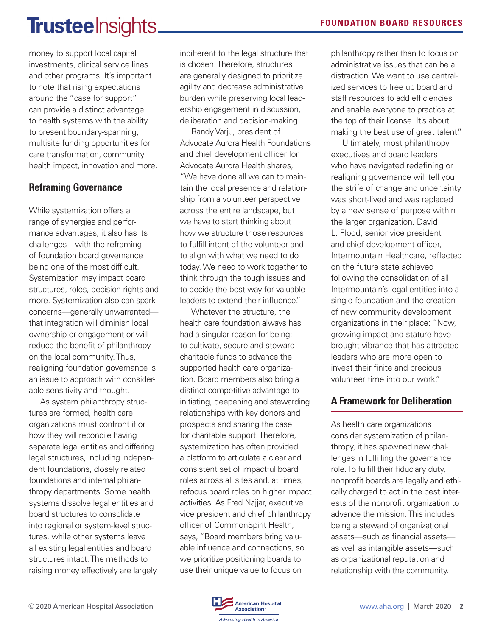### **Trustee** Insights\_

money to support local capital investments, clinical service lines and other programs. It's important to note that rising expectations around the "case for support" can provide a distinct advantage to health systems with the ability to present boundary-spanning, multisite funding opportunities for care transformation, community health impact, innovation and more.

#### **Reframing Governance**

While systemization offers a range of synergies and performance advantages, it also has its challenges—with the reframing of foundation board governance being one of the most difficult. Systemization may impact board structures, roles, decision rights and more. Systemization also can spark concerns—generally unwarranted that integration will diminish local ownership or engagement or will reduce the benefit of philanthropy on the local community. Thus, realigning foundation governance is an issue to approach with considerable sensitivity and thought.

As system philanthropy structures are formed, health care organizations must confront if or how they will reconcile having separate legal entities and differing legal structures, including independent foundations, closely related foundations and internal philanthropy departments. Some health systems dissolve legal entities and board structures to consolidate into regional or system-level structures, while other systems leave all existing legal entities and board structures intact. The methods to raising money effectively are largely indifferent to the legal structure that is chosen. Therefore, structures are generally designed to prioritize agility and decrease administrative burden while preserving local leadership engagement in discussion, deliberation and decision-making.

Randy Varju, president of Advocate Aurora Health Foundations and chief development officer for Advocate Aurora Health shares, "We have done all we can to maintain the local presence and relationship from a volunteer perspective across the entire landscape, but we have to start thinking about how we structure those resources to fulfill intent of the volunteer and to align with what we need to do today. We need to work together to think through the tough issues and to decide the best way for valuable leaders to extend their influence."

Whatever the structure, the health care foundation always has had a singular reason for being: to cultivate, secure and steward charitable funds to advance the supported health care organization. Board members also bring a distinct competitive advantage to initiating, deepening and stewarding relationships with key donors and prospects and sharing the case for charitable support. Therefore, systemization has often provided a platform to articulate a clear and consistent set of impactful board roles across all sites and, at times, refocus board roles on higher impact activities. As Fred Najjar, executive vice president and chief philanthropy officer of CommonSpirit Health, says, "Board members bring valuable influence and connections, so we prioritize positioning boards to use their unique value to focus on

philanthropy rather than to focus on administrative issues that can be a distraction. We want to use centralized services to free up board and staff resources to add efficiencies and enable everyone to practice at the top of their license. It's about making the best use of great talent."

Ultimately, most philanthropy executives and board leaders who have navigated redefining or realigning governance will tell you the strife of change and uncertainty was short-lived and was replaced by a new sense of purpose within the larger organization. David L. Flood, senior vice president and chief development officer, Intermountain Healthcare, reflected on the future state achieved following the consolidation of all Intermountain's legal entities into a single foundation and the creation of new community development organizations in their place: "Now, growing impact and stature have brought vibrance that has attracted leaders who are more open to invest their finite and precious volunteer time into our work."

### **A Framework for Deliberation**

As health care organizations consider systemization of philanthropy, it has spawned new challenges in fulfilling the governance role. To fulfill their fiduciary duty, nonprofit boards are legally and ethically charged to act in the best interests of the nonprofit organization to advance the mission. This includes being a steward of organizational assets—such as financial assets as well as intangible assets—such as organizational reputation and relationship with the community.

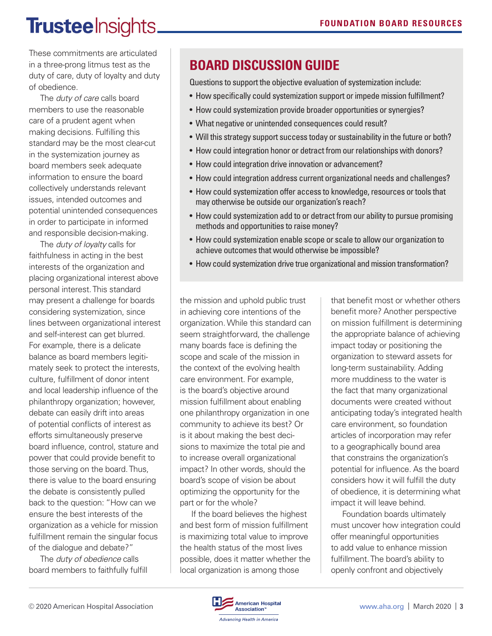### **Trusteelnsights\_**

These commitments are articulated in a three-prong litmus test as the duty of care, duty of loyalty and duty of obedience.

The *duty of care* calls board members to use the reasonable care of a prudent agent when making decisions. Fulfilling this standard may be the most clear-cut in the systemization journey as board members seek adequate information to ensure the board collectively understands relevant issues, intended outcomes and potential unintended consequences in order to participate in informed and responsible decision-making.

The *duty of loyalty* calls for faithfulness in acting in the best interests of the organization and placing organizational interest above personal interest. This standard may present a challenge for boards considering systemization, since lines between organizational interest and self-interest can get blurred. For example, there is a delicate balance as board members legitimately seek to protect the interests, culture, fulfillment of donor intent and local leadership influence of the philanthropy organization; however, debate can easily drift into areas of potential conflicts of interest as efforts simultaneously preserve board influence, control, stature and power that could provide benefit to those serving on the board. Thus, there is value to the board ensuring the debate is consistently pulled back to the question: "How can we ensure the best interests of the organization as a vehicle for mission fulfillment remain the singular focus of the dialogue and debate?"

The *duty of obedience* calls board members to faithfully fulfill

### **BOARD DISCUSSION GUIDE**

Questions to support the objective evaluation of systemization include:

- How specifically could systemization support or impede mission fulfillment?
- How could systemization provide broader opportunities or synergies?
- What negative or unintended consequences could result?
- Will this strategy support success today or sustainability in the future or both?
- How could integration honor or detract from our relationships with donors?
- How could integration drive innovation or advancement?
- How could integration address current organizational needs and challenges?
- How could systemization offer access to knowledge, resources or tools that may otherwise be outside our organization's reach?
- How could systemization add to or detract from our ability to pursue promising methods and opportunities to raise money?
- How could systemization enable scope or scale to allow our organization to achieve outcomes that would otherwise be impossible?
- How could systemization drive true organizational and mission transformation?

the mission and uphold public trust in achieving core intentions of the organization. While this standard can seem straightforward, the challenge many boards face is defining the scope and scale of the mission in the context of the evolving health care environment. For example, is the board's objective around mission fulfillment about enabling one philanthropy organization in one community to achieve its best? Or is it about making the best decisions to maximize the total pie and to increase overall organizational impact? In other words, should the board's scope of vision be about optimizing the opportunity for the part or for the whole?

If the board believes the highest and best form of mission fulfillment is maximizing total value to improve the health status of the most lives possible, does it matter whether the local organization is among those

that benefit most or whether others benefit more? Another perspective on mission fulfillment is determining the appropriate balance of achieving impact today or positioning the organization to steward assets for long-term sustainability. Adding more muddiness to the water is the fact that many organizational documents were created without anticipating today's integrated health care environment, so foundation articles of incorporation may refer to a geographically bound area that constrains the organization's potential for influence. As the board considers how it will fulfill the duty of obedience, it is determining what impact it will leave behind.

Foundation boards ultimately must uncover how integration could offer meaningful opportunities to add value to enhance mission fulfillment. The board's ability to openly confront and objectively